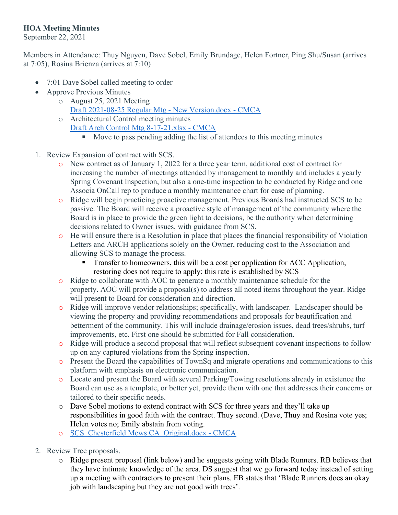## HOA Meeting Minutes

September 22, 2021

Members in Attendance: Thuy Nguyen, Dave Sobel, Emily Brundage, Helen Fortner, Ping Shu/Susan (arrives at 7:05), Rosina Brienza (arrives at 7:10)

- 7:01 Dave Sobel called meeting to order
- Approve Previous Minutes
	- o August 25, 2021 Meeting Draft 2021-08-25 Regular Mtg - New Version.docx - CMCA
	- o Architectural Control meeting minutes Draft Arch Control Mtg 8-17-21.xlsx - CMCA
		- Move to pass pending adding the list of attendees to this meeting minutes
- 1. Review Expansion of contract with SCS.
	- o New contract as of January 1, 2022 for a three year term, additional cost of contract for increasing the number of meetings attended by management to monthly and includes a yearly Spring Covenant Inspection, but also a one-time inspection to be conducted by Ridge and one Associa OnCall rep to produce a monthly maintenance chart for ease of planning.
	- o Ridge will begin practicing proactive management. Previous Boards had instructed SCS to be passive. The Board will receive a proactive style of management of the community where the Board is in place to provide the green light to decisions, be the authority when determining decisions related to Owner issues, with guidance from SCS.
	- o He will ensure there is a Resolution in place that places the financial responsibility of Violation Letters and ARCH applications solely on the Owner, reducing cost to the Association and allowing SCS to manage the process.
		- **Transfer to homeowners, this will be a cost per application for ACC Application,** restoring does not require to apply; this rate is established by SCS
	- o Ridge to collaborate with AOC to generate a monthly maintenance schedule for the property. AOC will provide a proposal(s) to address all noted items throughout the year. Ridge will present to Board for consideration and direction.
	- o Ridge will improve vendor relationships; specifically, with landscaper. Landscaper should be viewing the property and providing recommendations and proposals for beautification and betterment of the community. This will include drainage/erosion issues, dead trees/shrubs, turf improvements, etc. First one should be submitted for Fall consideration.
	- o Ridge will produce a second proposal that will reflect subsequent covenant inspections to follow up on any captured violations from the Spring inspection.
	- o Present the Board the capabilities of TownSq and migrate operations and communications to this platform with emphasis on electronic communication.
	- o Locate and present the Board with several Parking/Towing resolutions already in existence the Board can use as a template, or better yet, provide them with one that addresses their concerns or tailored to their specific needs.
	- o Dave Sobel motions to extend contract with SCS for three years and they'll take up responsibilities in good faith with the contract. Thuy second. (Dave, Thuy and Rosina vote yes; Helen votes no; Emily abstain from voting.
	- o SCS\_Chesterfield Mews CA\_Original.docx CMCA
- 2. Review Tree proposals.
	- o Ridge present proposal (link below) and he suggests going with Blade Runners. RB believes that they have intimate knowledge of the area. DS suggest that we go forward today instead of setting up a meeting with contractors to present their plans. EB states that 'Blade Runners does an okay job with landscaping but they are not good with trees'.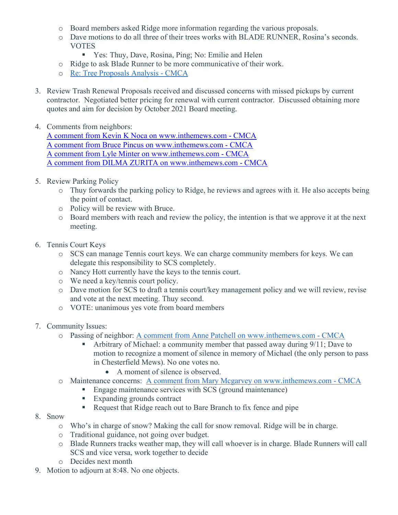- o Board members asked Ridge more information regarding the various proposals.
- o Dave motions to do all three of their trees works with BLADE RUNNER, Rosina's seconds. VOTES
	- **Fall Finally, Dave, Rosina, Ping; No: Emilie and Helen**
- o Ridge to ask Blade Runner to be more communicative of their work.
- o Re: Tree Proposals Analysis CMCA
- 3. Review Trash Renewal Proposals received and discussed concerns with missed pickups by current contractor. Negotiated better pricing for renewal with current contractor. Discussed obtaining more quotes and aim for decision by October 2021 Board meeting.
- 4. Comments from neighbors:

A comment from Kevin K Noca on www.inthemews.com - CMCA A comment from Bruce Pincus on www.inthemews.com - CMCA A comment from Lyle Minter on www.inthemews.com - CMCA A comment from DILMA ZURITA on www.inthemews.com - CMCA

- 5. Review Parking Policy
	- o Thuy forwards the parking policy to Ridge, he reviews and agrees with it. He also accepts being the point of contact.
	- o Policy will be review with Bruce.
	- o Board members with reach and review the policy, the intention is that we approve it at the next meeting.
- 6. Tennis Court Keys
	- o SCS can manage Tennis court keys. We can charge community members for keys. We can delegate this responsibility to SCS completely.
	- o Nancy Hott currently have the keys to the tennis court.
	- o We need a key/tennis court policy.
	- o Dave motion for SCS to draft a tennis court/key management policy and we will review, revise and vote at the next meeting. Thuy second.
	- o VOTE: unanimous yes vote from board members
- 7. Community Issues:
	- o Passing of neighbor: A comment from Anne Patchell on www.inthemews.com CMCA
		- Arbitrary of Michael: a community member that passed away during  $9/11$ ; Dave to motion to recognize a moment of silence in memory of Michael (the only person to pass in Chesterfield Mews). No one votes no.
			- A moment of silence is observed.
	- o Maintenance concerns: A comment from Mary Mcgarvey on www.inthemews.com CMCA
		- **Engage maintenance services with SCS (ground maintenance)**
		- **Expanding grounds contract**
		- Request that Ridge reach out to Bare Branch to fix fence and pipe
- 8. Snow
	- o Who's in charge of snow? Making the call for snow removal. Ridge will be in charge.
	- o Traditional guidance, not going over budget.
	- o Blade Runners tracks weather map, they will call whoever is in charge. Blade Runners will call SCS and vice versa, work together to decide
	- o Decides next month
- 9. Motion to adjourn at 8:48. No one objects.